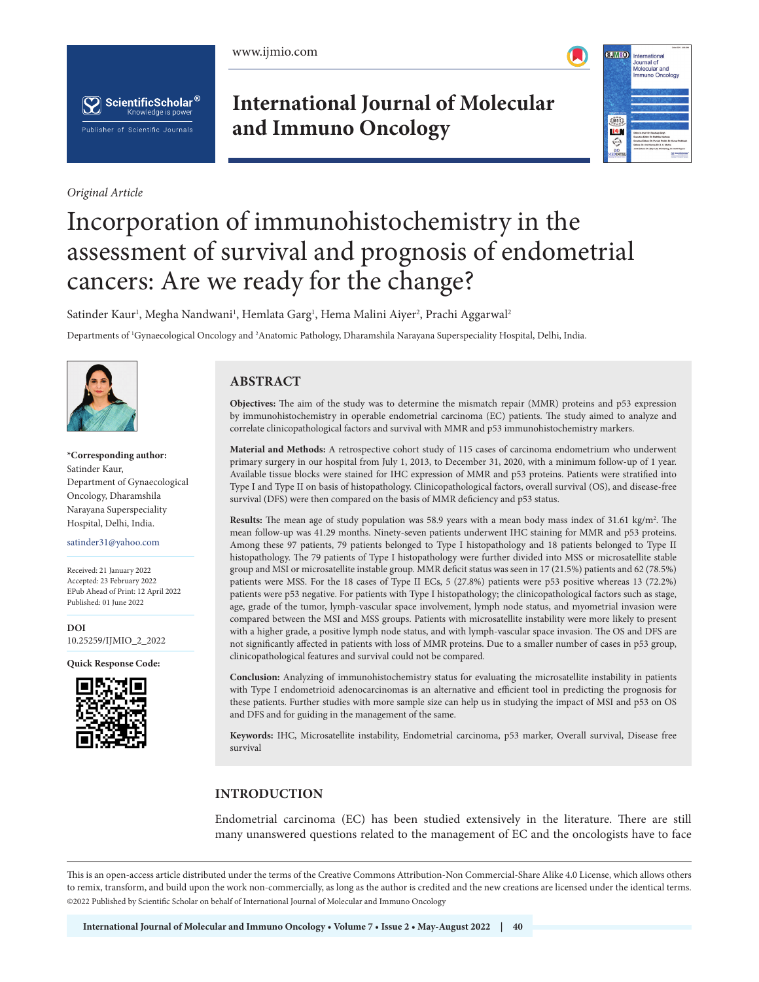





*Original Article*

**International Journal of Molecular and Immuno Oncology**



# Incorporation of immunohistochemistry in the assessment of survival and prognosis of endometrial cancers: Are we ready for the change?

Satinder Kaur<sup>ı</sup>, Megha Nandwani<sup>ı</sup>, Hemlata Garg<sup>ı</sup>, Hema Malini Aiyer<sup>2</sup>, Prachi Aggarwal<sup>2</sup>

Departments of 1 Gynaecological Oncology and 2 Anatomic Pathology, Dharamshila Narayana Superspeciality Hospital, Delhi, India.



**\*Corresponding author:** Satinder Kaur, Department of Gynaecological Oncology, Dharamshila Narayana Superspeciality Hospital, Delhi, India.

satinder31@yahoo.com

Received: 21 January 2022 Accepted: 23 February 2022 EPub Ahead of Print: 12 April 2022 Published: 01 June 2022

**DOI** [10.25259/IJMIO\\_2\\_2022](https://dx.doi.org/10.25259/IJMIO_2_2022)

**Quick Response Code:**



# **ABSTRACT**

**Objectives:** The aim of the study was to determine the mismatch repair (MMR) proteins and p53 expression by immunohistochemistry in operable endometrial carcinoma (EC) patients. The study aimed to analyze and correlate clinicopathological factors and survival with MMR and p53 immunohistochemistry markers.

**Material and Methods:** A retrospective cohort study of 115 cases of carcinoma endometrium who underwent primary surgery in our hospital from July 1, 2013, to December 31, 2020, with a minimum follow-up of 1 year. Available tissue blocks were stained for IHC expression of MMR and p53 proteins. Patients were stratified into Type I and Type II on basis of histopathology. Clinicopathological factors, overall survival (OS), and disease-free survival (DFS) were then compared on the basis of MMR deficiency and p53 status.

**Results:** The mean age of study population was 58.9 years with a mean body mass index of 31.61 kg/m<sup>2</sup>. The mean follow-up was 41.29 months. Ninety-seven patients underwent IHC staining for MMR and p53 proteins. Among these 97 patients, 79 patients belonged to Type I histopathology and 18 patients belonged to Type II histopathology. The 79 patients of Type I histopathology were further divided into MSS or microsatellite stable group and MSI or microsatellite instable group. MMR deficit status was seen in 17 (21.5%) patients and 62 (78.5%) patients were MSS. For the 18 cases of Type II ECs, 5 (27.8%) patients were p53 positive whereas 13 (72.2%) patients were p53 negative. For patients with Type I histopathology; the clinicopathological factors such as stage, age, grade of the tumor, lymph-vascular space involvement, lymph node status, and myometrial invasion were compared between the MSI and MSS groups. Patients with microsatellite instability were more likely to present with a higher grade, a positive lymph node status, and with lymph-vascular space invasion. The OS and DFS are not significantly affected in patients with loss of MMR proteins. Due to a smaller number of cases in p53 group, clinicopathological features and survival could not be compared.

**Conclusion:** Analyzing of immunohistochemistry status for evaluating the microsatellite instability in patients with Type I endometrioid adenocarcinomas is an alternative and efficient tool in predicting the prognosis for these patients. Further studies with more sample size can help us in studying the impact of MSI and p53 on OS and DFS and for guiding in the management of the same.

**Keywords:** IHC, Microsatellite instability, Endometrial carcinoma, p53 marker, Overall survival, Disease free survival

# **INTRODUCTION**

Endometrial carcinoma (EC) has been studied extensively in the literature. There are still many unanswered questions related to the management of EC and the oncologists have to face

This is an open-access article distributed under the terms of the Creative Commons Attribution-Non Commercial-Share Alike 4.0 License, which allows others to remix, transform, and build upon the work non-commercially, as long as the author is credited and the new creations are licensed under the identical terms. ©2022 Published by Scientific Scholar on behalf of International Journal of Molecular and Immuno Oncology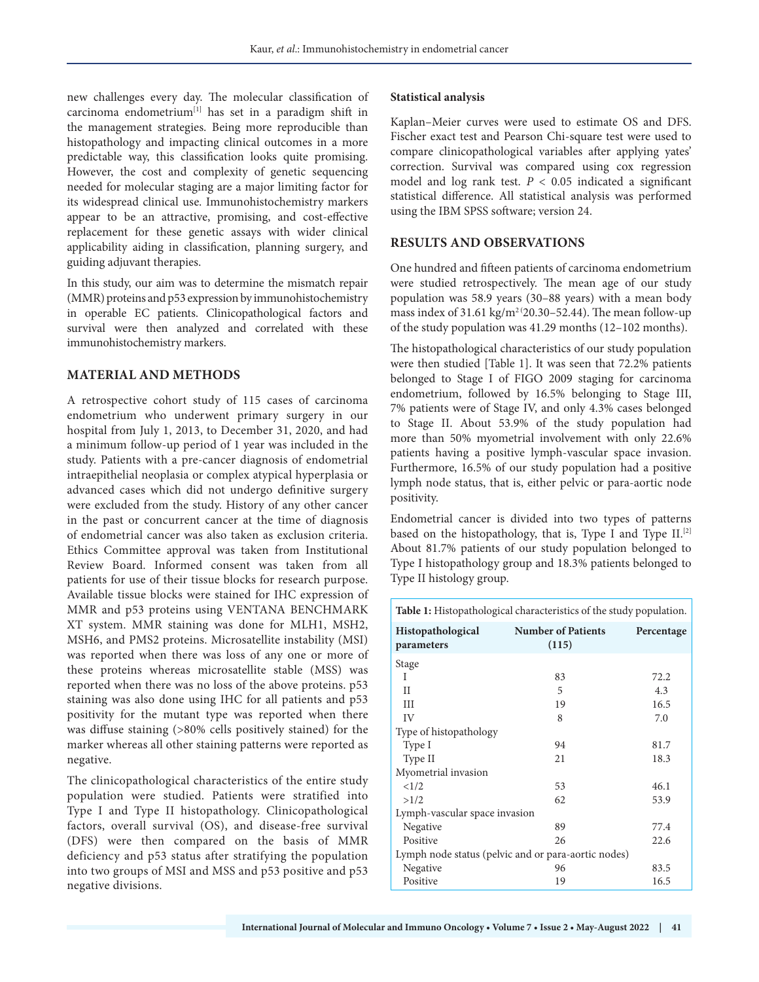new challenges every day. The molecular classification of carcinoma endometrium[1] has set in a paradigm shift in the management strategies. Being more reproducible than histopathology and impacting clinical outcomes in a more predictable way, this classification looks quite promising. However, the cost and complexity of genetic sequencing needed for molecular staging are a major limiting factor for its widespread clinical use. Immunohistochemistry markers appear to be an attractive, promising, and cost-effective replacement for these genetic assays with wider clinical applicability aiding in classification, planning surgery, and guiding adjuvant therapies.

In this study, our aim was to determine the mismatch repair (MMR) proteins and p53 expression by immunohistochemistry in operable EC patients. Clinicopathological factors and survival were then analyzed and correlated with these immunohistochemistry markers.

## **MATERIAL AND METHODS**

A retrospective cohort study of 115 cases of carcinoma endometrium who underwent primary surgery in our hospital from July 1, 2013, to December 31, 2020, and had a minimum follow-up period of 1 year was included in the study. Patients with a pre-cancer diagnosis of endometrial intraepithelial neoplasia or complex atypical hyperplasia or advanced cases which did not undergo definitive surgery were excluded from the study. History of any other cancer in the past or concurrent cancer at the time of diagnosis of endometrial cancer was also taken as exclusion criteria. Ethics Committee approval was taken from Institutional Review Board. Informed consent was taken from all patients for use of their tissue blocks for research purpose. Available tissue blocks were stained for IHC expression of MMR and p53 proteins using VENTANA BENCHMARK XT system. MMR staining was done for MLH1, MSH2, MSH6, and PMS2 proteins. Microsatellite instability (MSI) was reported when there was loss of any one or more of these proteins whereas microsatellite stable (MSS) was reported when there was no loss of the above proteins. p53 staining was also done using IHC for all patients and p53 positivity for the mutant type was reported when there was diffuse staining (>80% cells positively stained) for the marker whereas all other staining patterns were reported as negative.

The clinicopathological characteristics of the entire study population were studied. Patients were stratified into Type I and Type II histopathology. Clinicopathological factors, overall survival (OS), and disease-free survival (DFS) were then compared on the basis of MMR deficiency and p53 status after stratifying the population into two groups of MSI and MSS and p53 positive and p53 negative divisions.

#### **Statistical analysis**

Kaplan–Meier curves were used to estimate OS and DFS. Fischer exact test and Pearson Chi-square test were used to compare clinicopathological variables after applying yates' correction. Survival was compared using cox regression model and log rank test.  $P < 0.05$  indicated a significant statistical difference. All statistical analysis was performed using the IBM SPSS software; version 24.

## **RESULTS AND OBSERVATIONS**

One hundred and fifteen patients of carcinoma endometrium were studied retrospectively. The mean age of our study population was 58.9 years (30–88 years) with a mean body mass index of  $31.61 \text{ kg/m}^2 (20.30 - 52.44)$ . The mean follow-up of the study population was 41.29 months (12–102 months).

The histopathological characteristics of our study population were then studied [Table 1]. It was seen that 72.2% patients belonged to Stage I of FIGO 2009 staging for carcinoma endometrium, followed by 16.5% belonging to Stage III, 7% patients were of Stage IV, and only 4.3% cases belonged to Stage II. About 53.9% of the study population had more than 50% myometrial involvement with only 22.6% patients having a positive lymph-vascular space invasion. Furthermore, 16.5% of our study population had a positive lymph node status, that is, either pelvic or para-aortic node positivity.

Endometrial cancer is divided into two types of patterns based on the histopathology, that is, Type I and Type  $II$ .<sup>[2]</sup> About 81.7% patients of our study population belonged to Type I histopathology group and 18.3% patients belonged to Type II histology group.

| <b>Table 1:</b> Histopathological characteristics of the study population. |                                    |            |  |  |  |
|----------------------------------------------------------------------------|------------------------------------|------------|--|--|--|
| Histopathological<br>parameters                                            | <b>Number of Patients</b><br>(115) | Percentage |  |  |  |
| Stage                                                                      |                                    |            |  |  |  |
| T                                                                          | 83                                 | 72.2       |  |  |  |
| Н                                                                          | 5                                  | 4.3        |  |  |  |
| III                                                                        | 19                                 | 16.5       |  |  |  |
| IV                                                                         | 8                                  | 7.0        |  |  |  |
| Type of histopathology                                                     |                                    |            |  |  |  |
| Type I                                                                     | 94                                 | 81.7       |  |  |  |
| Type II                                                                    | 21                                 | 18.3       |  |  |  |
| Myometrial invasion                                                        |                                    |            |  |  |  |
| <1/2                                                                       | 53                                 | 46.1       |  |  |  |
| >1/2                                                                       | 62                                 | 53.9       |  |  |  |
| Lymph-vascular space invasion                                              |                                    |            |  |  |  |
| Negative                                                                   | 89                                 | 77.4       |  |  |  |
| Positive                                                                   | 26                                 | 22.6       |  |  |  |
| Lymph node status (pelvic and or para-aortic nodes)                        |                                    |            |  |  |  |
| Negative                                                                   | 96                                 | 83.5       |  |  |  |
| Positive                                                                   | 19                                 | 16.5       |  |  |  |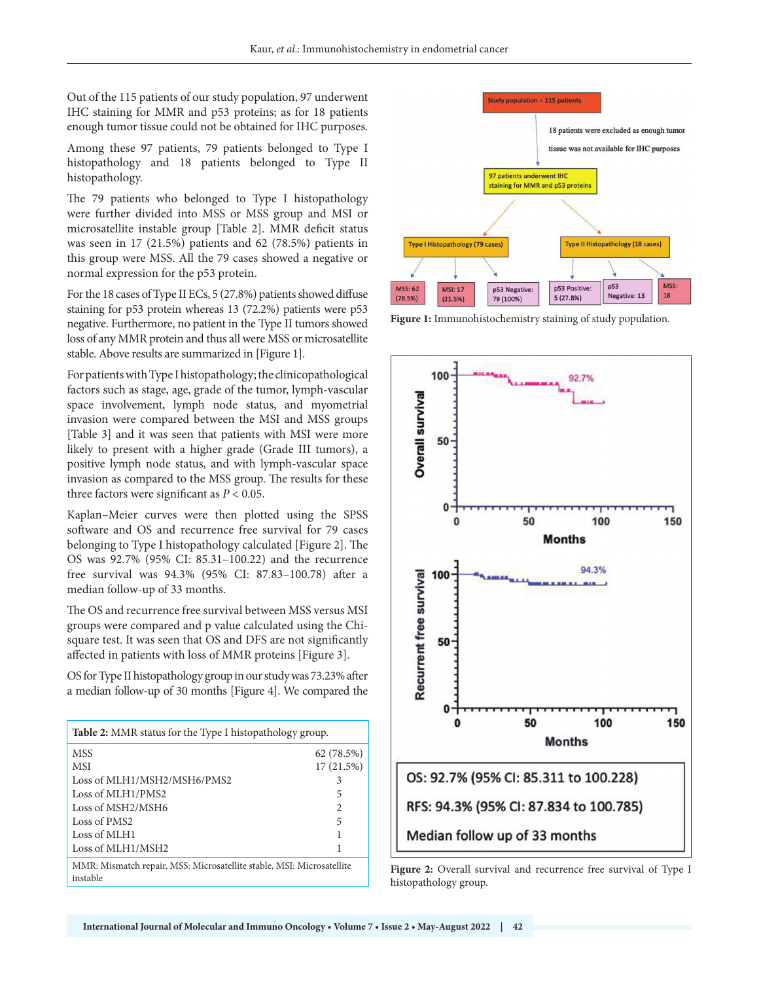Out of the 115 patients of our study population, 97 underwent IHC staining for MMR and p53 proteins; as for 18 patients enough tumor tissue could not be obtained for IHC purposes.

Among these 97 patients, 79 patients belonged to Type I histopathology and 18 patients belonged to Type II histopathology.

The 79 patients who belonged to Type I histopathology were further divided into MSS or MSS group and MSI or microsatellite instable group [Table 2]. MMR deficit status was seen in 17 (21.5%) patients and 62 (78.5%) patients in this group were MSS. All the 79 cases showed a negative or normal expression for the p53 protein.

For the 18 cases of Type II ECs, 5 (27.8%) patients showed diffuse staining for p53 protein whereas 13 (72.2%) patients were p53 negative. Furthermore, no patient in the Type II tumors showed loss of any MMR protein and thus all were MSS or microsatellite stable. Above results are summarized in [Figure 1].

For patients with Type I histopathology; the clinicopathological factors such as stage, age, grade of the tumor, lymph-vascular space involvement, lymph node status, and myometrial invasion were compared between the MSI and MSS groups [Table 3] and it was seen that patients with MSI were more likely to present with a higher grade (Grade III tumors), a positive lymph node status, and with lymph-vascular space invasion as compared to the MSS group. The results for these three factors were significant as  $P < 0.05$ .

Kaplan–Meier curves were then plotted using the SPSS software and OS and recurrence free survival for 79 cases belonging to Type I histopathology calculated [Figure 2]. The OS was 92.7% (95% CI: 85.31–100.22) and the recurrence free survival was 94.3% (95% CI: 87.83–100.78) after a median follow-up of 33 months.

The OS and recurrence free survival between MSS versus MSI groups were compared and p value calculated using the Chisquare test. It was seen that OS and DFS are not significantly affected in patients with loss of MMR proteins [Figure 3].

OS for Type II histopathology group in our study was 73.23% after a median follow-up of 30 months [Figure 4]. We compared the

| <b>Table 2:</b> MMR status for the Type I histopathology group.                   |                |  |  |  |
|-----------------------------------------------------------------------------------|----------------|--|--|--|
| <b>MSS</b>                                                                        | 62 (78.5%)     |  |  |  |
| MSI                                                                               | 17(21.5%)      |  |  |  |
| Loss of MLH1/MSH2/MSH6/PMS2                                                       | 3              |  |  |  |
| Loss of MLH1/PMS2                                                                 | 5              |  |  |  |
| Loss of MSH2/MSH6                                                                 | $\mathfrak{D}$ |  |  |  |
| Loss of PMS <sub>2</sub>                                                          | 5              |  |  |  |
| Loss of MLH <sub>1</sub>                                                          | 1              |  |  |  |
| Loss of MLH1/MSH2                                                                 | 1              |  |  |  |
| MMR: Mismatch repair, MSS: Microsatellite stable, MSI: Microsatellite<br>instable |                |  |  |  |



**Figure 1:** Immunohistochemistry staining of study population.



**Figure 2:** Overall survival and recurrence free survival of Type I histopathology group.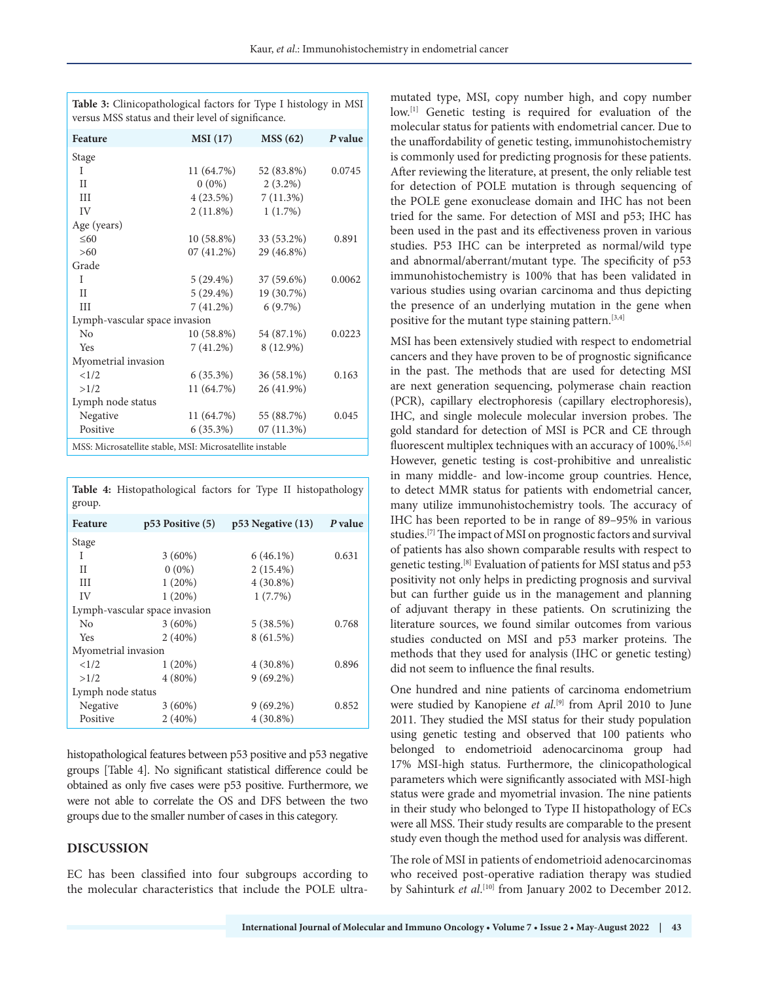| <b>Feature</b>                                           | <b>MSI</b> (17) | MSS(62)      | P value |  |
|----------------------------------------------------------|-----------------|--------------|---------|--|
| Stage                                                    |                 |              |         |  |
| T                                                        | 11 (64.7%)      | 52 (83.8%)   | 0.0745  |  |
| $\mathbf{H}$                                             | $0(0\%)$        | $2(3.2\%)$   |         |  |
| III                                                      | 4 (23.5%)       | 7(11.3%)     |         |  |
| IV                                                       | $2(11.8\%)$     | 1(1.7%)      |         |  |
| Age (years)                                              |                 |              |         |  |
| $\leq 60$                                                | 10 (58.8%)      | 33 (53.2%)   | 0.891   |  |
| >60                                                      | $07(41.2\%)$    | 29 (46.8%)   |         |  |
| Grade                                                    |                 |              |         |  |
| T                                                        | $5(29.4\%)$     | $37(59.6\%)$ | 0.0062  |  |
| $_{\rm II}$                                              | $5(29.4\%)$     | 19 (30.7%)   |         |  |
| Ш                                                        | $7(41.2\%)$     | 6(9.7%)      |         |  |
| Lymph-vascular space invasion                            |                 |              |         |  |
| No                                                       | 10 (58.8%)      | 54 (87.1%)   | 0.0223  |  |
| Yes                                                      | 7 (41.2%)       | 8 (12.9%)    |         |  |
| Myometrial invasion                                      |                 |              |         |  |
| <1/2                                                     | $6(35.3\%)$     | $36(58.1\%)$ | 0.163   |  |
| >1/2                                                     | 11 (64.7%)      | 26 (41.9%)   |         |  |
| Lymph node status                                        |                 |              |         |  |
| Negative                                                 | 11 (64.7%)      | 55 (88.7%)   | 0.045   |  |
| Positive                                                 | $6(35.3\%)$     | $07(11.3\%)$ |         |  |
| MSS: Microsatellite stable, MSI: Microsatellite instable |                 |              |         |  |

**Table 3:** Clinicopathological factors for Type I histology in MSI versus MSS status and their level of significance.

**Table 4:** Histopathological factors for Type II histopathology group.

| <b>Feature</b>                |                      |                       | P value |  |  |
|-------------------------------|----------------------|-----------------------|---------|--|--|
|                               | $p53$ Positive $(5)$ | $p53$ Negative $(13)$ |         |  |  |
| Stage                         |                      |                       |         |  |  |
| T                             | $3(60\%)$            | $6(46.1\%)$           | 0.631   |  |  |
| H                             | $0(0\%)$             | $2(15.4\%)$           |         |  |  |
| Ш                             | 1(20%)               | $4(30.8\%)$           |         |  |  |
| IV                            | 1(20%)               | 1(7.7%)               |         |  |  |
| Lymph-vascular space invasion |                      |                       |         |  |  |
| No                            | $3(60\%)$            | 5(38.5%)              | 0.768   |  |  |
| Yes                           | $2(40\%)$            | 8(61.5%)              |         |  |  |
| Myometrial invasion           |                      |                       |         |  |  |
| <1/2                          | 1(20%)               | $4(30.8\%)$           | 0.896   |  |  |
| >1/2                          | $4(80\%)$            | $9(69.2\%)$           |         |  |  |
| Lymph node status             |                      |                       |         |  |  |
| Negative                      | $3(60\%)$            | $9(69.2\%)$           | 0.852   |  |  |
| Positive                      | $2(40\%)$            | $4(30.8\%)$           |         |  |  |

histopathological features between p53 positive and p53 negative groups [Table 4]. No significant statistical difference could be obtained as only five cases were p53 positive. Furthermore, we were not able to correlate the OS and DFS between the two groups due to the smaller number of cases in this category.

#### **DISCUSSION**

EC has been classified into four subgroups according to the molecular characteristics that include the POLE ultramutated type, MSI, copy number high, and copy number low.<sup>[1]</sup> Genetic testing is required for evaluation of the molecular status for patients with endometrial cancer. Due to the unaffordability of genetic testing, immunohistochemistry is commonly used for predicting prognosis for these patients. After reviewing the literature, at present, the only reliable test for detection of POLE mutation is through sequencing of the POLE gene exonuclease domain and IHC has not been tried for the same. For detection of MSI and p53; IHC has been used in the past and its effectiveness proven in various studies. P53 IHC can be interpreted as normal/wild type and abnormal/aberrant/mutant type. The specificity of p53 immunohistochemistry is 100% that has been validated in various studies using ovarian carcinoma and thus depicting the presence of an underlying mutation in the gene when positive for the mutant type staining pattern.<sup>[3,4]</sup>

MSI has been extensively studied with respect to endometrial cancers and they have proven to be of prognostic significance in the past. The methods that are used for detecting MSI are next generation sequencing, polymerase chain reaction (PCR), capillary electrophoresis (capillary electrophoresis), IHC, and single molecule molecular inversion probes. The gold standard for detection of MSI is PCR and CE through fluorescent multiplex techniques with an accuracy of 100%.<sup>[5,6]</sup> However, genetic testing is cost-prohibitive and unrealistic in many middle- and low-income group countries. Hence, to detect MMR status for patients with endometrial cancer, many utilize immunohistochemistry tools. The accuracy of IHC has been reported to be in range of 89–95% in various studies.[7] The impact of MSI on prognostic factors and survival of patients has also shown comparable results with respect to genetic testing.[8] Evaluation of patients for MSI status and p53 positivity not only helps in predicting prognosis and survival but can further guide us in the management and planning of adjuvant therapy in these patients. On scrutinizing the literature sources, we found similar outcomes from various studies conducted on MSI and p53 marker proteins. The methods that they used for analysis (IHC or genetic testing) did not seem to influence the final results.

One hundred and nine patients of carcinoma endometrium were studied by Kanopiene *et al*. [9] from April 2010 to June 2011. They studied the MSI status for their study population using genetic testing and observed that 100 patients who belonged to endometrioid adenocarcinoma group had 17% MSI-high status. Furthermore, the clinicopathological parameters which were significantly associated with MSI-high status were grade and myometrial invasion. The nine patients in their study who belonged to Type II histopathology of ECs were all MSS. Their study results are comparable to the present study even though the method used for analysis was different.

The role of MSI in patients of endometrioid adenocarcinomas who received post-operative radiation therapy was studied by Sahinturk *et al*. [10] from January 2002 to December 2012.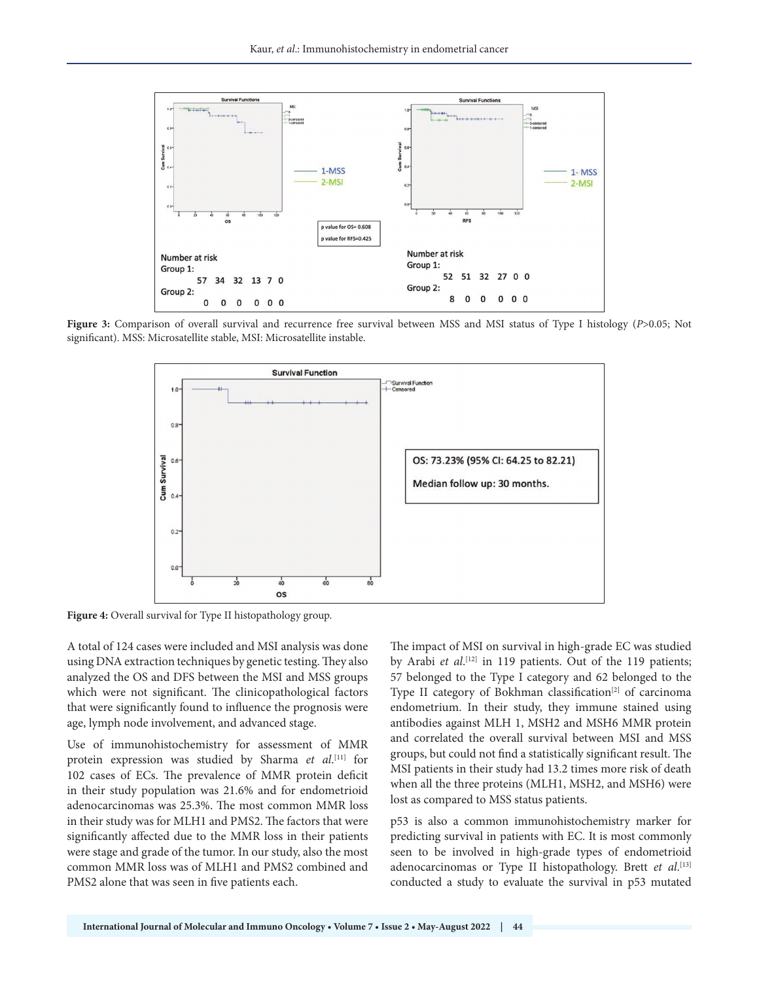

**Figure 3:** Comparison of overall survival and recurrence free survival between MSS and MSI status of Type I histology (*P*>0.05; Not significant). MSS: Microsatellite stable, MSI: Microsatellite instable.



**Figure 4:** Overall survival for Type II histopathology group.

A total of 124 cases were included and MSI analysis was done using DNA extraction techniques by genetic testing. They also analyzed the OS and DFS between the MSI and MSS groups which were not significant. The clinicopathological factors that were significantly found to influence the prognosis were age, lymph node involvement, and advanced stage.

Use of immunohistochemistry for assessment of MMR protein expression was studied by Sharma *et al*. [11] for 102 cases of ECs. The prevalence of MMR protein deficit in their study population was 21.6% and for endometrioid adenocarcinomas was 25.3%. The most common MMR loss in their study was for MLH1 and PMS2. The factors that were significantly affected due to the MMR loss in their patients were stage and grade of the tumor. In our study, also the most common MMR loss was of MLH1 and PMS2 combined and PMS2 alone that was seen in five patients each.

The impact of MSI on survival in high-grade EC was studied by Arabi *et al*. [12] in 119 patients. Out of the 119 patients; 57 belonged to the Type I category and 62 belonged to the Type II category of Bokhman classification<sup>[2]</sup> of carcinoma endometrium. In their study, they immune stained using antibodies against MLH 1, MSH2 and MSH6 MMR protein and correlated the overall survival between MSI and MSS groups, but could not find a statistically significant result. The MSI patients in their study had 13.2 times more risk of death when all the three proteins (MLH1, MSH2, and MSH6) were lost as compared to MSS status patients.

p53 is also a common immunohistochemistry marker for predicting survival in patients with EC. It is most commonly seen to be involved in high-grade types of endometrioid adenocarcinomas or Type II histopathology. Brett *et al*.<sup>[13]</sup> conducted a study to evaluate the survival in p53 mutated